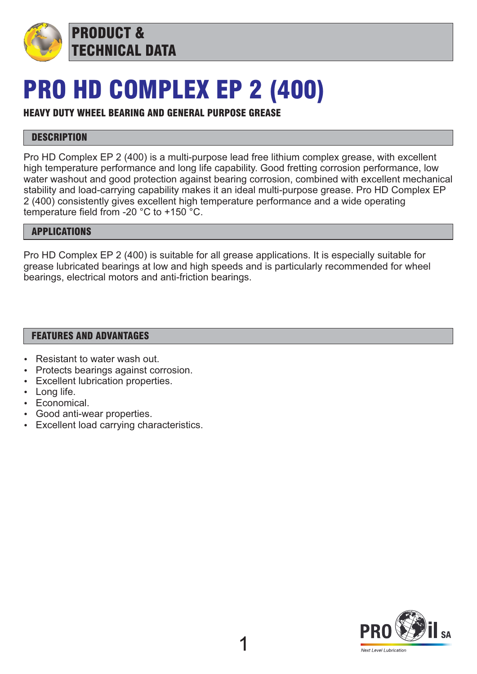

PRODUCT & TECHNICAL DATA

# PRO HD COMPLEX EP 2 (400)

### HEAVY DUTY WHEEL BEARING AND GENERAL PURPOSE GREASE

### **DESCRIPTION**

Pro HD Complex EP 2 (400) is a multi-purpose lead free lithium complex grease, with excellent high temperature performance and long life capability. Good fretting corrosion performance, low water washout and good protection against bearing corrosion, combined with excellent mechanical stability and load-carrying capability makes it an ideal multi-purpose grease. Pro HD Complex EP 2 (400) consistently gives excellent high temperature performance and a wide operating temperature field from -20 °C to +150 °C.

### APPLICATIONS

Pro HD Complex EP 2 (400) is suitable for all grease applications. It is especially suitable for grease lubricated bearings at low and high speeds and is particularly recommended for wheel bearings, electrical motors and anti-friction bearings.

### FEATURES AND ADVANTAGES

- Resistant to water wash out.
- Protects bearings against corrosion.
- Excellent lubrication properties.
- $\cdot$  Long life.
- $\cdot$  Economical.
- Good anti-wear properties.
- Excellent load carrying characteristics.